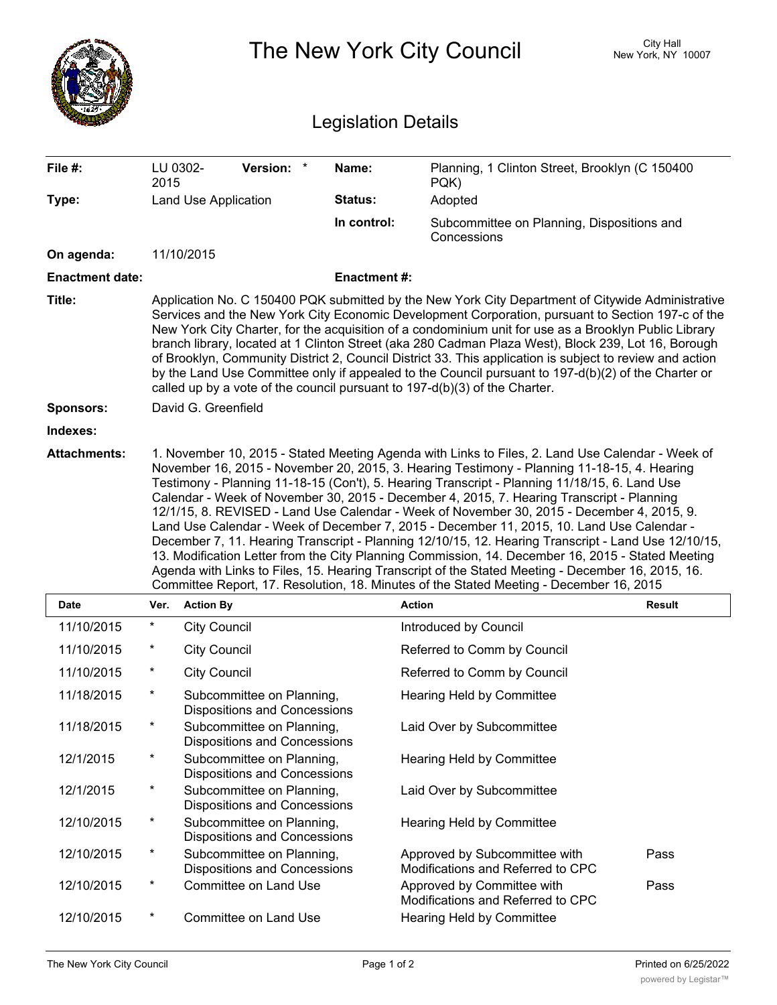|                            |                                                                                                                                                                                                                                                                                                                                                                                                                                                                                                                                                                                                                                                                                                                                                                                                                                                                                                                                                                                                      |                     |                                                                  |                    | The New York City Council                                          |  | City Hall<br>New York, NY 10007 |  |  |  |
|----------------------------|------------------------------------------------------------------------------------------------------------------------------------------------------------------------------------------------------------------------------------------------------------------------------------------------------------------------------------------------------------------------------------------------------------------------------------------------------------------------------------------------------------------------------------------------------------------------------------------------------------------------------------------------------------------------------------------------------------------------------------------------------------------------------------------------------------------------------------------------------------------------------------------------------------------------------------------------------------------------------------------------------|---------------------|------------------------------------------------------------------|--------------------|--------------------------------------------------------------------|--|---------------------------------|--|--|--|
| <b>Legislation Details</b> |                                                                                                                                                                                                                                                                                                                                                                                                                                                                                                                                                                                                                                                                                                                                                                                                                                                                                                                                                                                                      |                     |                                                                  |                    |                                                                    |  |                                 |  |  |  |
| File #:                    | LU 0302-<br>2015                                                                                                                                                                                                                                                                                                                                                                                                                                                                                                                                                                                                                                                                                                                                                                                                                                                                                                                                                                                     |                     | Version: *                                                       | Name:              | Planning, 1 Clinton Street, Brooklyn (C 150400<br>PQK)             |  |                                 |  |  |  |
| Type:                      | Land Use Application                                                                                                                                                                                                                                                                                                                                                                                                                                                                                                                                                                                                                                                                                                                                                                                                                                                                                                                                                                                 |                     |                                                                  | Status:            | Adopted                                                            |  |                                 |  |  |  |
|                            |                                                                                                                                                                                                                                                                                                                                                                                                                                                                                                                                                                                                                                                                                                                                                                                                                                                                                                                                                                                                      |                     |                                                                  | In control:        | Subcommittee on Planning, Dispositions and<br>Concessions          |  |                                 |  |  |  |
| On agenda:                 |                                                                                                                                                                                                                                                                                                                                                                                                                                                                                                                                                                                                                                                                                                                                                                                                                                                                                                                                                                                                      | 11/10/2015          |                                                                  |                    |                                                                    |  |                                 |  |  |  |
| <b>Enactment date:</b>     |                                                                                                                                                                                                                                                                                                                                                                                                                                                                                                                                                                                                                                                                                                                                                                                                                                                                                                                                                                                                      |                     |                                                                  | <b>Enactment#:</b> |                                                                    |  |                                 |  |  |  |
| Title:                     | Application No. C 150400 PQK submitted by the New York City Department of Citywide Administrative<br>Services and the New York City Economic Development Corporation, pursuant to Section 197-c of the<br>New York City Charter, for the acquisition of a condominium unit for use as a Brooklyn Public Library<br>branch library, located at 1 Clinton Street (aka 280 Cadman Plaza West), Block 239, Lot 16, Borough<br>of Brooklyn, Community District 2, Council District 33. This application is subject to review and action<br>by the Land Use Committee only if appealed to the Council pursuant to 197-d(b)(2) of the Charter or<br>called up by a vote of the council pursuant to $197-d(b)(3)$ of the Charter.                                                                                                                                                                                                                                                                            |                     |                                                                  |                    |                                                                    |  |                                 |  |  |  |
| <b>Sponsors:</b>           |                                                                                                                                                                                                                                                                                                                                                                                                                                                                                                                                                                                                                                                                                                                                                                                                                                                                                                                                                                                                      | David G. Greenfield |                                                                  |                    |                                                                    |  |                                 |  |  |  |
| Indexes:                   |                                                                                                                                                                                                                                                                                                                                                                                                                                                                                                                                                                                                                                                                                                                                                                                                                                                                                                                                                                                                      |                     |                                                                  |                    |                                                                    |  |                                 |  |  |  |
| <b>Attachments:</b>        | 1. November 10, 2015 - Stated Meeting Agenda with Links to Files, 2. Land Use Calendar - Week of<br>November 16, 2015 - November 20, 2015, 3. Hearing Testimony - Planning 11-18-15, 4. Hearing<br>Testimony - Planning 11-18-15 (Con't), 5. Hearing Transcript - Planning 11/18/15, 6. Land Use<br>Calendar - Week of November 30, 2015 - December 4, 2015, 7. Hearing Transcript - Planning<br>12/1/15, 8. REVISED - Land Use Calendar - Week of November 30, 2015 - December 4, 2015, 9.<br>Land Use Calendar - Week of December 7, 2015 - December 11, 2015, 10. Land Use Calendar -<br>December 7, 11. Hearing Transcript - Planning 12/10/15, 12. Hearing Transcript - Land Use 12/10/15,<br>13. Modification Letter from the City Planning Commission, 14. December 16, 2015 - Stated Meeting<br>Agenda with Links to Files, 15. Hearing Transcript of the Stated Meeting - December 16, 2015, 16.<br>Committee Report, 17. Resolution, 18. Minutes of the Stated Meeting - December 16, 2015 |                     |                                                                  |                    |                                                                    |  |                                 |  |  |  |
| Date                       | Ver.                                                                                                                                                                                                                                                                                                                                                                                                                                                                                                                                                                                                                                                                                                                                                                                                                                                                                                                                                                                                 | Action By           |                                                                  |                    | Action                                                             |  | <b>Result</b>                   |  |  |  |
| 11/10/2015                 | $\ast$                                                                                                                                                                                                                                                                                                                                                                                                                                                                                                                                                                                                                                                                                                                                                                                                                                                                                                                                                                                               | <b>City Council</b> |                                                                  |                    | Introduced by Council                                              |  |                                 |  |  |  |
| 11/10/2015                 | $\ast$                                                                                                                                                                                                                                                                                                                                                                                                                                                                                                                                                                                                                                                                                                                                                                                                                                                                                                                                                                                               | <b>City Council</b> |                                                                  |                    | Referred to Comm by Council                                        |  |                                 |  |  |  |
| 11/10/2015                 | $\ast$                                                                                                                                                                                                                                                                                                                                                                                                                                                                                                                                                                                                                                                                                                                                                                                                                                                                                                                                                                                               | <b>City Council</b> |                                                                  |                    | Referred to Comm by Council                                        |  |                                 |  |  |  |
| 11/18/2015                 | $^{\star}$                                                                                                                                                                                                                                                                                                                                                                                                                                                                                                                                                                                                                                                                                                                                                                                                                                                                                                                                                                                           |                     | Subcommittee on Planning,<br><b>Dispositions and Concessions</b> |                    | Hearing Held by Committee                                          |  |                                 |  |  |  |
| 11/18/2015                 | $^\star$                                                                                                                                                                                                                                                                                                                                                                                                                                                                                                                                                                                                                                                                                                                                                                                                                                                                                                                                                                                             |                     | Subcommittee on Planning,<br><b>Dispositions and Concessions</b> |                    | Laid Over by Subcommittee                                          |  |                                 |  |  |  |
| 12/1/2015                  | $^{\star}$                                                                                                                                                                                                                                                                                                                                                                                                                                                                                                                                                                                                                                                                                                                                                                                                                                                                                                                                                                                           |                     | Subcommittee on Planning,<br><b>Dispositions and Concessions</b> |                    | Hearing Held by Committee                                          |  |                                 |  |  |  |
| 12/1/2015                  | $\star$                                                                                                                                                                                                                                                                                                                                                                                                                                                                                                                                                                                                                                                                                                                                                                                                                                                                                                                                                                                              |                     | Subcommittee on Planning,<br><b>Dispositions and Concessions</b> |                    | Laid Over by Subcommittee                                          |  |                                 |  |  |  |
| 12/10/2015                 | $\ast$                                                                                                                                                                                                                                                                                                                                                                                                                                                                                                                                                                                                                                                                                                                                                                                                                                                                                                                                                                                               |                     | Subcommittee on Planning,<br><b>Dispositions and Concessions</b> |                    | Hearing Held by Committee                                          |  |                                 |  |  |  |
| 12/10/2015                 | $\ast$                                                                                                                                                                                                                                                                                                                                                                                                                                                                                                                                                                                                                                                                                                                                                                                                                                                                                                                                                                                               |                     | Subcommittee on Planning,<br><b>Dispositions and Concessions</b> |                    | Approved by Subcommittee with<br>Modifications and Referred to CPC |  | Pass                            |  |  |  |
| 12/10/2015                 | *                                                                                                                                                                                                                                                                                                                                                                                                                                                                                                                                                                                                                                                                                                                                                                                                                                                                                                                                                                                                    |                     | Committee on Land Use                                            |                    | Approved by Committee with<br>Modifications and Referred to CPC    |  | Pass                            |  |  |  |
| 12/10/2015                 | $\ast$                                                                                                                                                                                                                                                                                                                                                                                                                                                                                                                                                                                                                                                                                                                                                                                                                                                                                                                                                                                               |                     | Committee on Land Use                                            |                    | Hearing Held by Committee                                          |  |                                 |  |  |  |